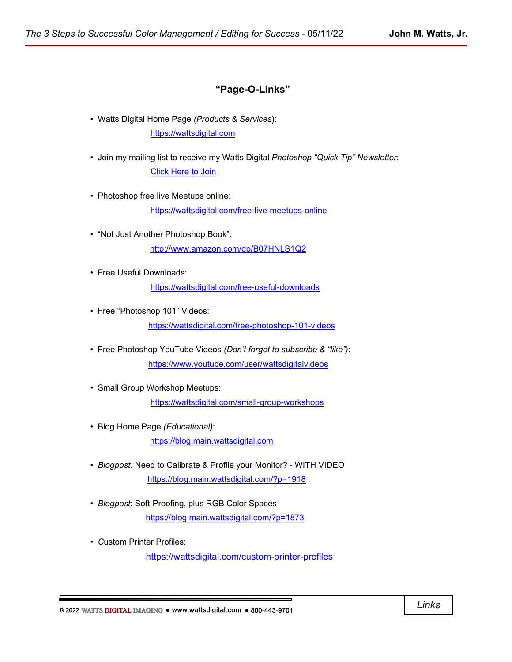# **"Page-O-Links"**

• Watts Digital Home Page *(Products & Services*): [https://wattsdigital.com](https://wattsdigital.com/)

• Join my mailing list to receive my Watts Digital *Photoshop "Quick Tip" Newsletter*: [Click Here to Join](https://visitor.r20.constantcontact.com/manage/optin?v=0016DNjNiidDhRwYuGZFNAxcASo2U_gpD08)

• Photoshop free live Meetups online:

<https://wattsdigital.com/free-live-meetups-online>

- "Not Just Another Photoshop Book": <http://www.amazon.com/dp/B07HNLS1Q2>
- Free Useful Downloads: <https://wattsdigital.com/free-useful-downloads>
- Free "Photoshop 101" Videos: <https://wattsdigital.com/free-photoshop-101-videos>
- Free Photoshop YouTube Videos *(Don't forget to subscribe & "like")*: <https://www.youtube.com/user/wattsdigitalvideos>
- Small Group Workshop Meetups: <https://wattsdigital.com/small-group-workshops>
- Blog Home Page *(Educational)*: [https://blog.main.wattsdigital.com](https://blog.main.wattsdigital.com/)
- *Blogpost:* Need to Calibrate & Profile your Monitor? WITH VIDEO <https://blog.main.wattsdigital.com/?p=1918>
- *Blogpost*: Soft-Proofing, plus RGB Color Spaces <https://blog.main.wattsdigital.com/?p=1873>
- *C*ustom Printer Profiles: <https://wattsdigital.com/custom-printer-profiles>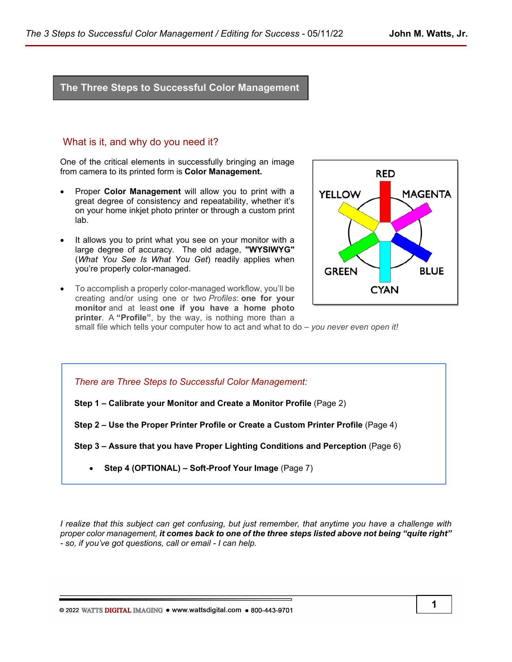# **The Three Steps to Successful Color Management**

### What is it, and why do you need it?

One of the critical elements in successfully bringing an image from camera to its printed form is **Color Management.** 

- Proper **Color Management** will allow you to print with a great degree of consistency and repeatability, whether it's on your home inkjet photo printer or through a custom print lab.
- It allows you to print what you see on your monitor with a large degree of accuracy. The old adage, **"WYSIWYG"** (*What You See Is What You Get*) readily applies when you're properly color-managed.
- To accomplish a properly color-managed workflow, you'll be creating and/or using one or two *Profiles*: **one for your monitor** and at least **one if you have a home photo printer**. A **"Profile"**, by the way, is nothing more than a



small file which tells your computer how to act and what to do – *you never even open it!*

*There are Three Steps to Successful Color Management:*

**Step 1 – Calibrate your Monitor and Create a Monitor Profile** (Page 2)

**Step 2 – Use the Proper Printer Profile or Create a Custom Printer Profile** (Page 4)

**Step 3 – Assure that you have Proper Lighting Conditions and Perception** (Page 6)

• **Step 4 (OPTIONAL) – Soft-Proof Your Image** (Page 7)

*I realize that this subject can get confusing, but just remember, that anytime you have a challenge with proper color management, it comes back to one of the three steps listed above not being "quite right" - so, if you've got questions, call or email - I can help.*

© 2022 WATTS DIGITAL IMAGING . www.wattsdigital.com . 800-443-9701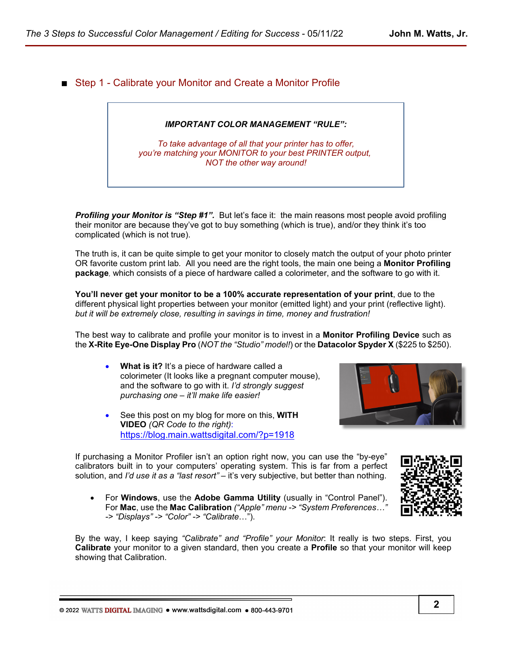■ Step 1 - Calibrate your Monitor and Create a Monitor Profile

### *IMPORTANT COLOR MANAGEMENT "RULE":*

*To take advantage of all that your printer has to offer, you're matching your MONITOR to your best PRINTER output, NOT the other way around!*

**Profiling your Monitor is "Step #1".** But let's face it: the main reasons most people avoid profiling their monitor are because they've got to buy something (which is true), and/or they think it's too complicated (which is not true).

The truth is, it can be quite simple to get your monitor to closely match the output of your photo printer OR favorite custom print lab*.* All you need are the right tools, the main one being a **Monitor Profiling package***,* which consists of a piece of hardware called a colorimeter, and the software to go with it.

**You'll never get your monitor to be a 100% accurate representation of your print**, due to the different physical light properties between your monitor (emitted light) and your print (reflective light). *but it will be extremely close, resulting in savings in time, money and frustration!*

The best way to calibrate and profile your monitor is to invest in a **Monitor Profiling Device** such as the **X-Rite Eye-One Display Pro** (*NOT the "Studio" model!*) or the **Datacolor Spyder X** (\$225 to \$250).

- **What is it?** It's a piece of hardware called a colorimeter (It looks like a pregnant computer mouse), and the software to go with it. *I'd strongly suggest purchasing one – it'll make life easier!*
- See this post on my blog for more on this, **WITH VIDEO** *(QR Code to the right)*: <https://blog.main.wattsdigital.com/?p=1918>

If purchasing a Monitor Profiler isn't an option right now, you can use the "by-eye" calibrators built in to your computers' operating system. This is far from a perfect solution, and *I'd use it as a "last resort"* – it's very subjective, but better than nothing.

• For **Windows**, use the **Adobe Gamma Utility** (usually in "Control Panel"). For **Mac**, use the **Mac Calibration** *("Apple" menu -> "System Preferences…" -> "Displays" -> "Color" -> "Calibrate*…").

By the way, I keep saying *"Calibrate" and "Profile" your Monitor*: It really is two steps. First, you **Calibrate** your monitor to a given standard, then you create a **Profile** so that your monitor will keep showing that Calibration.

© 2022 WATTS DIGITAL IMAGING . www.wattsdigital.com . 800-443-9701

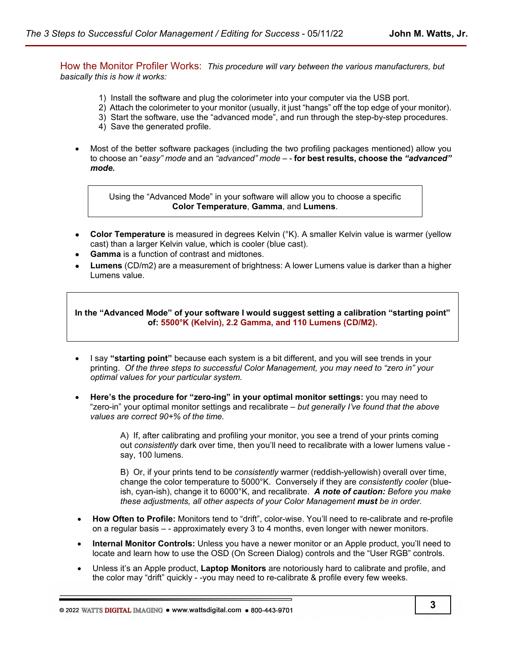How the Monitor Profiler Works:*This procedure will vary between the various manufacturers, but basically this is how it works:*

- 1) Install the software and plug the colorimeter into your computer via the USB port.
- 2) Attach the colorimeter to your monitor (usually, it just "hangs" off the top edge of your monitor).
- 3) Start the software, use the "advanced mode", and run through the step-by-step procedures.
- 4) Save the generated profile.
- Most of the better software packages (including the two profiling packages mentioned) allow you to choose an "*easy" mode* and an *"advanced" mode* – - **for best results, choose the** *"advanced" mode.*

Using the "Advanced Mode" in your software will allow you to choose a specific **Color Temperature**, **Gamma**, and **Lumens**.

- **Color Temperature** is measured in degrees Kelvin (°K). A smaller Kelvin value is warmer (yellow cast) than a larger Kelvin value, which is cooler (blue cast).
- **Gamma** is a function of contrast and midtones.
- • **Lumens** (CD/m2) are a measurement of brightness: A lower Lumens value is darker than a higher Lumens value.

**In the "Advanced Mode" of your software I would suggest setting a calibration "starting point" of: 5500°K (Kelvin), 2.2 Gamma, and 110 Lumens (CD/M2).**

- I say **"starting point"** because each system is a bit different, and you will see trends in your printing. *Of the three steps to successful Color Management, you may need to "zero in" your optimal values for your particular system.*
- **Here's the procedure for "zero-ing" in your optimal monitor settings:** you may need to "zero-in" your optimal monitor settings and recalibrate – *but generally I've found that the above values are correct 90+% of the time.*

A) If, after calibrating and profiling your monitor, you see a trend of your prints coming out *consistently* dark over time, then you'll need to recalibrate with a lower lumens value say, 100 lumens.

B) Or, if your prints tend to be *consistently* warmer (reddish-yellowish) overall over time, change the color temperature to 5000°K. Conversely if they are *consistently cooler* (blueish, cyan-ish), change it to 6000°K, and recalibrate. *A note of caution: Before you make these adjustments, all other aspects of your Color Management must be in order.*

- **How Often to Profile:** Monitors tend to "drift", color-wise. You'll need to re-calibrate and re-profile on a regular basis – - approximately every 3 to 4 months, even longer with newer monitors.
- **Internal Monitor Controls:** Unless you have a newer monitor or an Apple product, you'll need to locate and learn how to use the OSD (On Screen Dialog) controls and the "User RGB" controls.
- Unless it's an Apple product, **Laptop Monitors** are notoriously hard to calibrate and profile, and the color may "drift" quickly - -you may need to re-calibrate & profile every few weeks.

© 2022 WATTS DIGITAL IMAGING . www.wattsdigital.com . 800-443-9701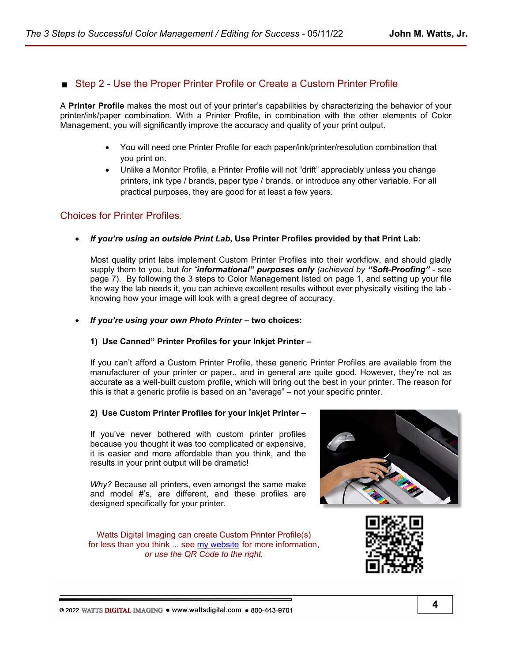# Step 2 - Use the Proper Printer Profile or Create a Custom Printer Profile

A **Printer Profile** makes the most out of your printer's capabilities by characterizing the behavior of your printer/ink/paper combination. With a Printer Profile, in combination with the other elements of Color Management, you will significantly improve the accuracy and quality of your print output.

- You will need one Printer Profile for each paper/ink/printer/resolution combination that you print on.
- Unlike a Monitor Profile, a Printer Profile will not "drift" appreciably unless you change printers, ink type / brands, paper type / brands, or introduce any other variable. For all practical purposes, they are good for at least a few years.

# Choices for Printer Profiles*:*

• *If you're using an outside Print Lab***, Use Printer Profiles provided by that Print Lab:**

Most quality print labs implement Custom Printer Profiles into their workflow, and should gladly supply them to you, but *for "informational" purposes only (achieved by "Soft-Proofing"* - see page 7). By following the 3 steps to Color Management listed on page 1, and setting up your file the way the lab needs it, you can achieve excellent results without ever physically visiting the lab knowing how your image will look with a great degree of accuracy.

• *If you're using your own Photo Printer* **– two choices:**

### **1) Use Canned" Printer Profiles for your Inkjet Printer –**

If you can't afford a Custom Printer Profile, these generic Printer Profiles are available from the manufacturer of your printer or paper., and in general are quite good. However, they're not as accurate as a well-built custom profile, which will bring out the best in your printer. The reason for this is that a generic profile is based on an "average" – not your specific printer.

### **2) Use Custom Printer Profiles for your Inkjet Printer –**

If you've never bothered with custom printer profiles because you thought it was too complicated or expensive, it is easier and more affordable than you think, and the results in your print output will be dramatic!

*Why?* Because all printers, even amongst the same make and model #'s, are different, and these profiles are designed specifically for your printer.

Watts Digital Imaging can create Custom Printer Profile(s) for less than you think ... see [my website](https://wattsdigital.com/custom-printer-profiles) for more information, *or use the QR Code to the right.*



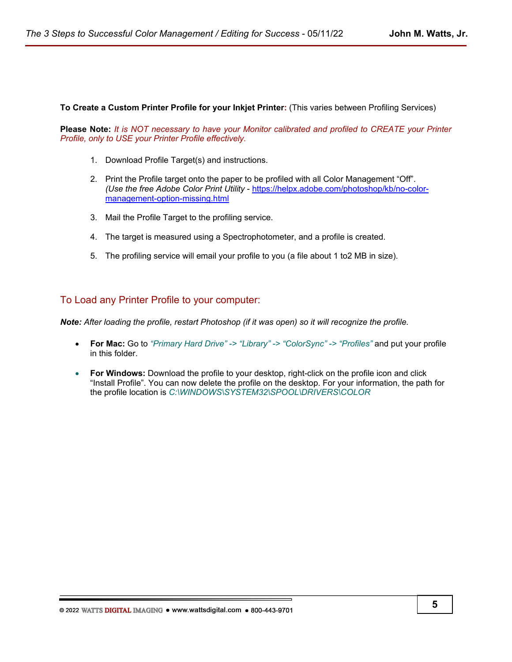**To Create a Custom Printer Profile for your Inkjet Printer:** (This varies between Profiling Services)

**Please Note:** *It is NOT necessary to have your Monitor calibrated and profiled to CREATE your Printer Profile, only to USE your Printer Profile effectively.*

- 1. Download Profile Target(s) and instructions.
- 2. Print the Profile target onto the paper to be profiled with all Color Management "Off". *(Use the free Adobe Color Print Utility* - [https://helpx.adobe.com/photoshop/kb/no-color](https://helpx.adobe.com/photoshop/kb/no-color-management-option-missing.html)[management-option-missing.html](https://helpx.adobe.com/photoshop/kb/no-color-management-option-missing.html)
- 3. Mail the Profile Target to the profiling service.
- 4. The target is measured using a Spectrophotometer, and a profile is created.
- 5. The profiling service will email your profile to you (a file about 1 to2 MB in size).

### To Load any Printer Profile to your computer:

*Note: After loading the profile, restart Photoshop (if it was open) so it will recognize the profile.*

- **For Mac:** Go to *"Primary Hard Drive" -> "Library" -> "ColorSync" -> "Profiles"* and put your profile in this folder.
- **For Windows:** Download the profile to your desktop, right-click on the profile icon and click "Install Profile". You can now delete the profile on the desktop. For your information, the path for the profile location is *C:\WINDOWS\SYSTEM32\SPOOL\DRIVERS\COLOR*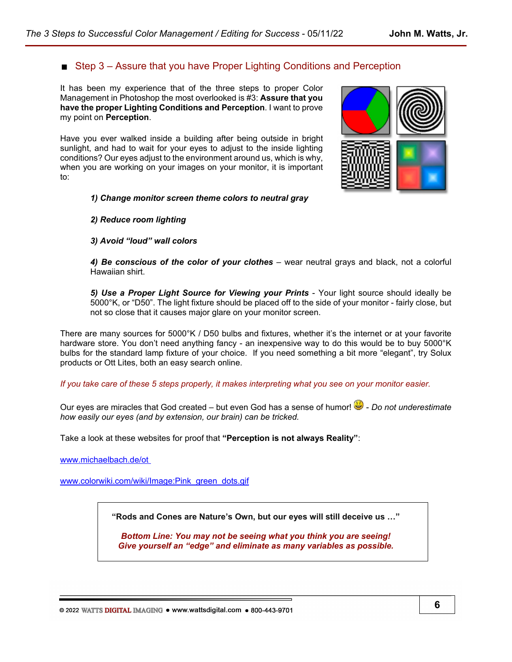# ■ Step 3 – Assure that you have Proper Lighting Conditions and Perception

It has been my experience that of the three steps to proper Color Management in Photoshop the most overlooked is #3: **Assure that you have the proper Lighting Conditions and Perception**. I want to prove my point on **Perception**.

Have you ever walked inside a building after being outside in bright sunlight, and had to wait for your eyes to adjust to the inside lighting conditions? Our eyes adjust to the environment around us, which is why, when you are working on your images on your monitor, it is important to:

### *1) Change monitor screen theme colors to neutral gray*

### *2) Reduce room lighting*

### *3) Avoid "loud" wall colors*

*4) Be conscious of the color of your clothes* – wear neutral grays and black, not a colorful Hawaiian shirt.

*5) Use a Proper Light Source for Viewing your Prints* - Your light source should ideally be 5000°K, or "D50". The light fixture should be placed off to the side of your monitor - fairly close, but not so close that it causes major glare on your monitor screen.

There are many sources for 5000°K / D50 bulbs and fixtures, whether it's the internet or at your favorite hardware store. You don't need anything fancy - an inexpensive way to do this would be to buy 5000°K bulbs for the standard lamp fixture of your choice. If you need something a bit more "elegant", try Solux products or Ott Lites, both an easy search online.

*If you take care of these 5 steps properly, it makes interpreting what you see on your monitor easier.*

Our eyes are miracles that God created – but even God has a sense of humor!  $\ddot{\bullet}$  - *Do not underestimate how easily our eyes (and by extension, our brain) can be tricked.*

Take a look at these websites for proof that **"Perception is not always Reality"**:

[www.michaelbach.de/ot](http://www.michaelbach.de/ot) 

[www.colorwiki.com/wiki/Image:Pink\\_green\\_dots.gif](http://www.colorwiki.com/wiki/Image:Pink_green_dots.gif)

**"Rods and Cones are Nature's Own, but our eyes will still deceive us …"**

*Bottom Line: You may not be seeing what you think you are seeing! Give yourself an "edge" and eliminate as many variables as possible.*

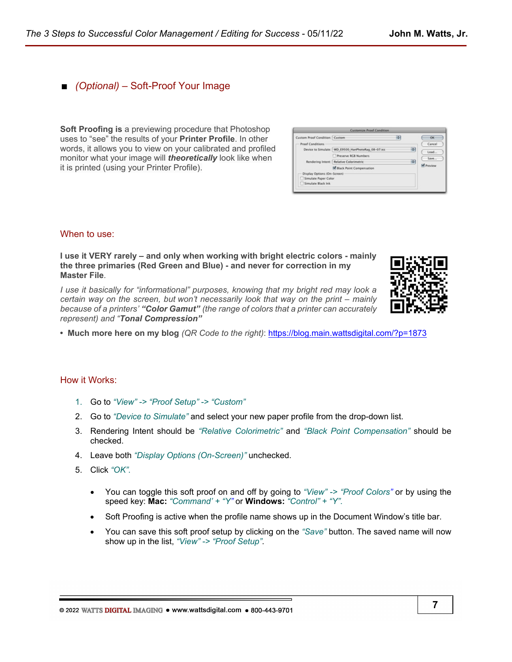# ■ *(Optional)* – Soft-Proof Your Image

**Soft Proofing is** a previewing procedure that Photoshop uses to "see" the results of your **Printer Profile**. In other words, it allows you to view on your calibrated and profiled monitor what your image will *theoretically* look like when it is printed (using your Printer Profile).

| Custom Proof Condition: Custom |                                                    | ı÷ |   | OK               |
|--------------------------------|----------------------------------------------------|----|---|------------------|
| <b>Proof Conditions</b>        |                                                    |    |   | Cancel           |
|                                | Device to Simulate: WD_E9500_HanPhotoRag_08-07.icc |    | ю | Load             |
|                                | Preserve RCB Numbers                               |    |   | Save             |
|                                | Rendering Intent: Relative Colorimetric            |    | 両 |                  |
|                                | M Black Point Compensation                         |    |   | <b>V</b> Preview |
| Display Options (On-Screen)    |                                                    |    |   |                  |
| Simulate Paper Color           |                                                    |    |   |                  |
| Simulate Black Ink             |                                                    |    |   |                  |

### When to use:

**I use it VERY rarely – and only when working with bright electric colors - mainly the three primaries (Red Green and Blue) - and never for correction in my Master File***.* 

*I use it basically for "informational" purposes, knowing that my bright red may look a certain way on the screen, but won't necessarily look that way on the print – mainly because of a printers' "Color Gamut" (the range of colors that a printer can accurately represent) and "Tonal Compression"*



**• Much more here on my blog** *(QR Code to the right)*:<https://blog.main.wattsdigital.com/?p=1873>

#### How it Works:

- 1. Go to *"View" -> "Proof Setup" -> "Custom"*
- 2. Go to *"Device to Simulate"* and select your new paper profile from the drop-down list.
- 3. Rendering Intent should be *"Relative Colorimetric"* and *"Black Point Compensation"* should be checked.
- 4. Leave both *"Display Options (On-Screen)"* unchecked.
- 5. Click *"OK"*.
	- You can toggle this soft proof on and off by going to *"View" -> "Proof Colors"* or by using the speed key: **Mac:** *"Command' + "Y"* or **Windows:** *"Control" + "Y"*.
	- Soft Proofing is active when the profile name shows up in the Document Window's title bar.
	- You can save this soft proof setup by clicking on the *"Save"* button. The saved name will now show up in the list, *"View" -> "Proof Setup"*.

@ 2022 WATTS DIGITAL IMAGING . www.wattsdigital.com . 800-443-9701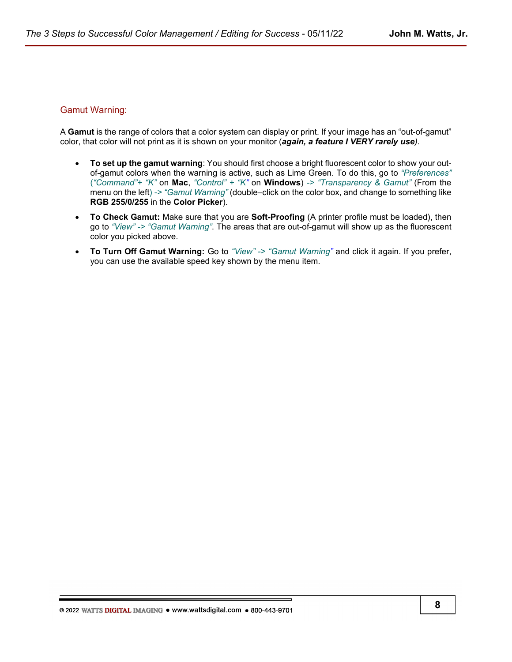### Gamut Warning:

A **Gamut** is the range of colors that a color system can display or print. If your image has an "out-of-gamut" color, that color will not print as it is shown on your monitor (*again, a feature I VERY rarely use).*

- **To set up the gamut warning**: You should first choose a bright fluorescent color to show your outof-gamut colors when the warning is active, such as Lime Green. To do this, go to *"Preferences"* (*"Command"+ "K"* on **Mac**, *"Control" + "K"* on **Windows**) *-> "Transparency & Gamut"* (From the menu on the left) *-> "Gamut Warning"* (double–click on the color box, and change to something like **RGB 255/0/255** in the **Color Picker**).
- **To Check Gamut:** Make sure that you are **Soft-Proofing** (A printer profile must be loaded), then go to *"View" -> "Gamut Warning"*. The areas that are out-of-gamut will show up as the fluorescent color you picked above.
- **To Turn Off Gamut Warning:** Go to *"View" -> "Gamut Warning"* and click it again. If you prefer, you can use the available speed key shown by the menu item.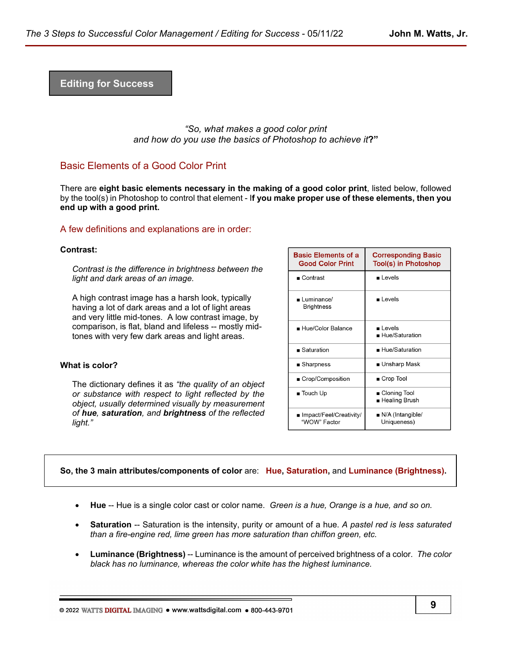**Editing for Success**

*"So, what makes a good color print and how do you use the basics of Photoshop to achieve it***?"** 

# Basic Elements of a Good Color Print

There are **eight basic elements necessary in the making of a good color print**, listed below, followed by the tool(s) in Photoshop to control that element - I**f you make proper use of these elements, then you end up with a good print.**

### A few definitions and explanations are in order:

#### **Contrast:**

*Contrast is the difference in brightness between the light and dark areas of an image.*

A high contrast image has a harsh look, typically having a lot of dark areas and a lot of light areas and very little mid-tones. A low contrast image, by comparison, is flat, bland and lifeless -- mostly midtones with very few dark areas and light areas.

#### **What is color?**

The dictionary defines it as *"the quality of an object or substance with respect to light reflected by the object, usually determined visually by measurement of hue, saturation, and brightness of the reflected light."*

| <b>Basic Elements of a</b><br><b>Good Color Print</b> | <b>Corresponding Basic</b><br>Tool(s) in Photoshop |  |  |
|-------------------------------------------------------|----------------------------------------------------|--|--|
| $\blacksquare$ Contrast                               | Levels                                             |  |  |
| ∎ Luminance/<br><b>Brightness</b>                     | ∎ Levels                                           |  |  |
| ■ Hue/Color Balance                                   | ∎ Levels<br>$\blacksquare$ Hue/Saturation          |  |  |
| $\blacksquare$ Saturation                             | ■ Hue/Saturation                                   |  |  |
| ■ Sharpness                                           | ■ Unsharp Mask                                     |  |  |
| ■ Crop/Composition                                    | ■ Crop Tool                                        |  |  |
| $\blacksquare$ Touch Up                               | ■ Cloning Tool<br>∎ Healing Brush                  |  |  |
| ∎ Impact/Feel/Creativity/<br>"WOW" Factor             | $\blacksquare$ N/A (Intangible/<br>Uniqueness)     |  |  |

#### **So, the 3 main attributes/components of color** are: **Hue, Saturation,** and **Luminance (Brightness).**

- **Hue** -- Hue is a single color cast or color name. *Green is a hue, Orange is a hue, and so on.*
- **Saturation** -- Saturation is the intensity, purity or amount of a hue. *A pastel red is less saturated than a fire-engine red, lime green has more saturation than chiffon green, etc.*
- **Luminance (Brightness)** -- Luminance is the amount of perceived brightness of a color*. The color black has no luminance, whereas the color white has the highest luminance.*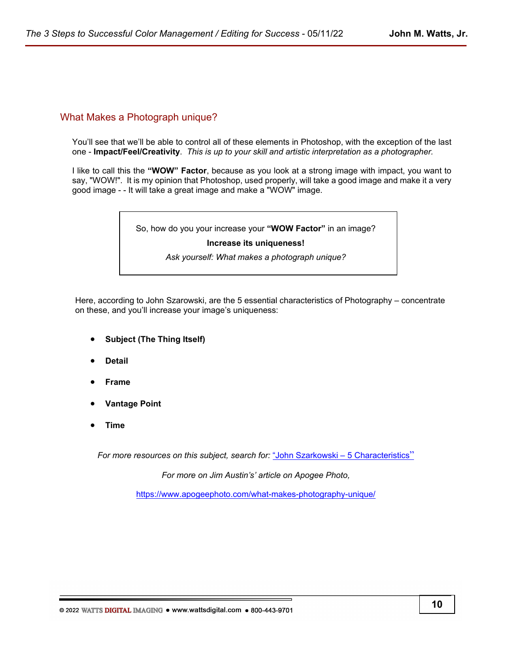# What Makes a Photograph unique?

You'll see that we'll be able to control all of these elements in Photoshop, with the exception of the last one - **Impact/Feel/Creativity**. *This is up to your skill and artistic interpretation as a photographer.*

I like to call this the **"WOW" Factor**, because as you look at a strong image with impact, you want to say, "WOW!". It is my opinion that Photoshop, used properly, will take a good image and make it a very good image - - It will take a great image and make a "WOW" image.

So, how do you your increase your **"WOW Factor"** in an image?

#### **Increase its uniqueness!**

*Ask yourself: What makes a photograph unique?*

Here, according to John Szarowski, are the 5 essential characteristics of Photography – concentrate on these, and you'll increase your image's uniqueness:

- **Subject (The Thing Itself)**
- **Detail**
- **Frame**
- **Vantage Point**
- **Time**

*For more resources on this subject, search for:* ["John Szarkowski – 5 Characteristics](https://duckduckgo.com/?q=John+Szarkowski+-+5+Characteristics&t=osx&ia=web)"

*For more on Jim Austin's' article on Apogee Photo,* 

<https://www.apogeephoto.com/what-makes-photography-unique/>